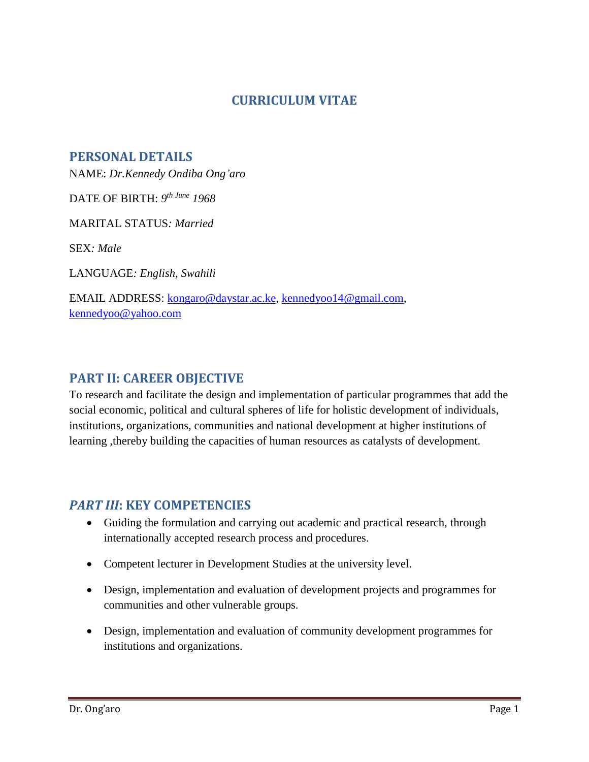## **CURRICULUM VITAE**

**PERSONAL DETAILS** 

NAME: *Dr.Kennedy Ondiba Ong'aro*

DATE OF BIRTH: *9 th June 1968*

MARITAL STATUS*: Married*

SEX*: Male*

LANGUAGE*: English, Swahili*

EMAIL ADDRESS: [kongaro@daystar.ac.ke,](mailto:kongaro@daystar.ac.ke) [kennedyoo14@gmail.com,](mailto:kennedyoo14@gmail.com) [kennedyoo@yahoo.com](mailto:kennedyoo@yahoo.com)

## **PART II: CAREER OBJECTIVE**

To research and facilitate the design and implementation of particular programmes that add the social economic, political and cultural spheres of life for holistic development of individuals, institutions, organizations, communities and national development at higher institutions of learning ,thereby building the capacities of human resources as catalysts of development.

#### *PART III***: KEY COMPETENCIES**

- Guiding the formulation and carrying out academic and practical research, through internationally accepted research process and procedures.
- Competent lecturer in Development Studies at the university level.
- Design, implementation and evaluation of development projects and programmes for communities and other vulnerable groups.
- Design, implementation and evaluation of community development programmes for institutions and organizations.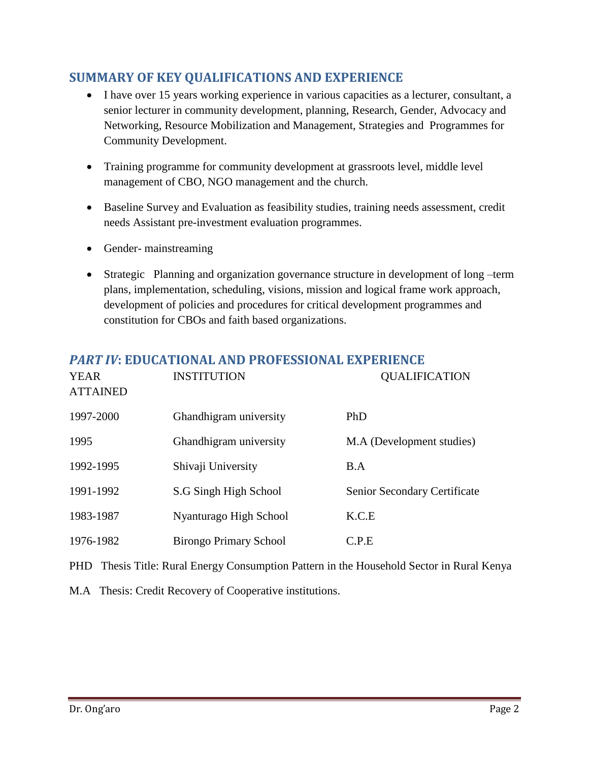# **SUMMARY OF KEY QUALIFICATIONS AND EXPERIENCE**

- I have over 15 years working experience in various capacities as a lecturer, consultant, a senior lecturer in community development, planning, Research, Gender, Advocacy and Networking, Resource Mobilization and Management, Strategies and Programmes for Community Development.
- Training programme for community development at grassroots level, middle level management of CBO, NGO management and the church.
- Baseline Survey and Evaluation as feasibility studies, training needs assessment, credit needs Assistant pre-investment evaluation programmes.
- Gender- mainstreaming
- Strategic Planning and organization governance structure in development of long –term plans, implementation, scheduling, visions, mission and logical frame work approach, development of policies and procedures for critical development programmes and constitution for CBOs and faith based organizations.

# *PART IV***: EDUCATIONAL AND PROFESSIONAL EXPERIENCE**

| <b>YEAR</b><br><b>ATTAINED</b> | <b>INSTITUTION</b>            | <b>QUALIFICATION</b>         |
|--------------------------------|-------------------------------|------------------------------|
| 1997-2000                      | Ghandhigram university        | PhD                          |
| 1995                           | Ghandhigram university        | M.A (Development studies)    |
| 1992-1995                      | Shivaji University            | B.A                          |
| 1991-1992                      | S.G Singh High School         | Senior Secondary Certificate |
| 1983-1987                      | Nyanturago High School        | K.C.E                        |
| 1976-1982                      | <b>Birongo Primary School</b> | C.P.E                        |

- PHD Thesis Title: Rural Energy Consumption Pattern in the Household Sector in Rural Kenya
- M.A Thesis: Credit Recovery of Cooperative institutions.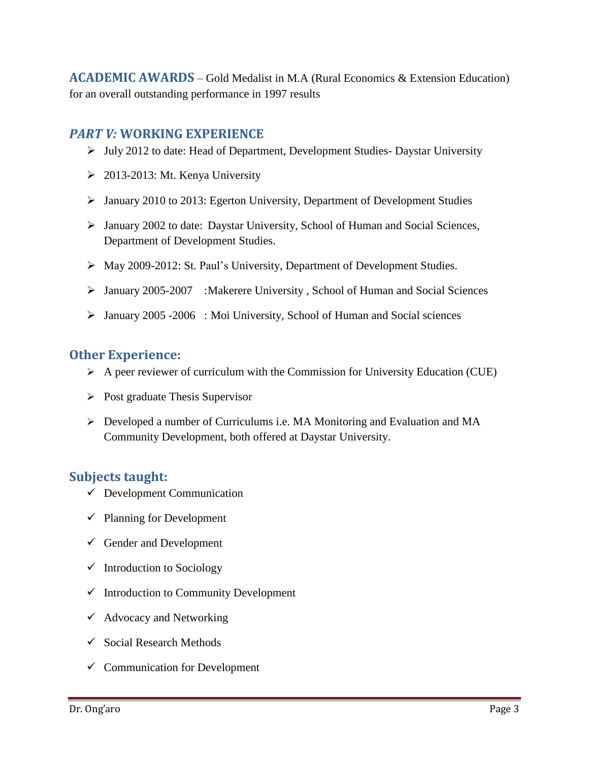**ACADEMIC AWARDS** – Gold Medalist in M.A (Rural Economics & Extension Education) for an overall outstanding performance in 1997 results

## *PART V:* **WORKING EXPERIENCE**

- $\triangleright$  July 2012 to date: Head of Department, Development Studies- Daystar University
- $\geq$  2013-2013: Mt. Kenya University
- January 2010 to 2013: Egerton University, Department of Development Studies
- January 2002 to date: Daystar University, School of Human and Social Sciences, Department of Development Studies.
- May 2009-2012: St. Paul's University, Department of Development Studies.
- January 2005-2007 :Makerere University , School of Human and Social Sciences
- January 2005 -2006 : Moi University, School of Human and Social sciences

### **Other Experience:**

- $\triangleright$  A peer reviewer of curriculum with the Commission for University Education (CUE)
- $\triangleright$  Post graduate Thesis Supervisor
- Developed a number of Curriculums i.e. MA Monitoring and Evaluation and MA Community Development, both offered at Daystar University.

### **Subjects taught:**

- $\checkmark$  Development Communication
- $\checkmark$  Planning for Development
- $\checkmark$  Gender and Development
- $\checkmark$  Introduction to Sociology
- $\checkmark$  Introduction to Community Development
- $\checkmark$  Advocacy and Networking
- $\checkmark$  Social Research Methods
- $\checkmark$  Communication for Development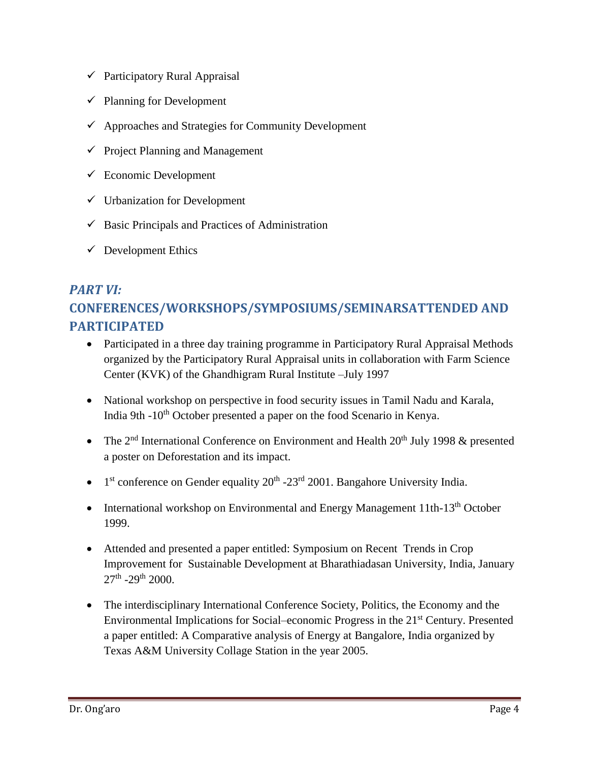- $\checkmark$  Participatory Rural Appraisal
- $\checkmark$  Planning for Development
- $\checkmark$  Approaches and Strategies for Community Development
- $\checkmark$  Project Planning and Management
- $\checkmark$  Economic Development
- $\checkmark$  Urbanization for Development
- $\checkmark$  Basic Principals and Practices of Administration
- $\checkmark$  Development Ethics

# *PART VI:*  **CONFERENCES/WORKSHOPS/SYMPOSIUMS/SEMINARSATTENDED AND PARTICIPATED**

- Participated in a three day training programme in Participatory Rural Appraisal Methods organized by the Participatory Rural Appraisal units in collaboration with Farm Science Center (KVK) of the Ghandhigram Rural Institute –July 1997
- National workshop on perspective in food security issues in Tamil Nadu and Karala, India 9th -10<sup>th</sup> October presented a paper on the food Scenario in Kenya.
- The  $2<sup>nd</sup>$  International Conference on Environment and Health  $20<sup>th</sup>$  July 1998 & presented a poster on Deforestation and its impact.
- $\bullet$  1<sup>st</sup> conference on Gender equality 20<sup>th</sup> -23<sup>rd</sup> 2001. Bangahore University India.
- International workshop on Environmental and Energy Management 11th-13<sup>th</sup> October 1999.
- Attended and presented a paper entitled: Symposium on Recent Trends in Crop Improvement for Sustainable Development at Bharathiadasan University, India, January  $27<sup>th</sup>$  -29<sup>th</sup> 2000.
- The interdisciplinary International Conference Society, Politics, the Economy and the Environmental Implications for Social–economic Progress in the 21st Century. Presented a paper entitled: A Comparative analysis of Energy at Bangalore, India organized by Texas A&M University Collage Station in the year 2005.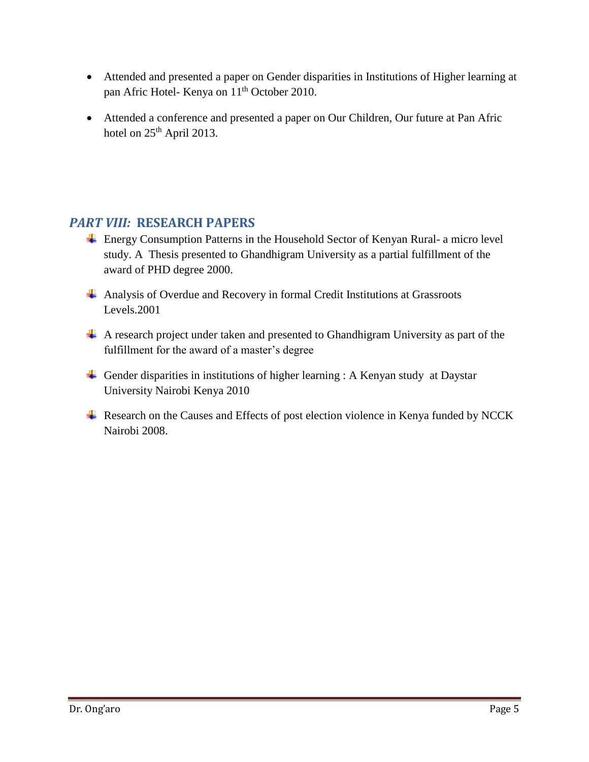- Attended and presented a paper on Gender disparities in Institutions of Higher learning at pan Afric Hotel- Kenya on 11<sup>th</sup> October 2010.
- Attended a conference and presented a paper on Our Children, Our future at Pan Afric hotel on  $25<sup>th</sup>$  April 2013.

## *PART VIII:* **RESEARCH PAPERS**

- Energy Consumption Patterns in the Household Sector of Kenyan Rural- a micro level study. A Thesis presented to Ghandhigram University as a partial fulfillment of the award of PHD degree 2000.
- Analysis of Overdue and Recovery in formal Credit Institutions at Grassroots Levels.2001
- A research project under taken and presented to Ghandhigram University as part of the fulfillment for the award of a master's degree
- Gender disparities in institutions of higher learning : A Kenyan study at Daystar University Nairobi Kenya 2010
- ↓ Research on the Causes and Effects of post election violence in Kenya funded by NCCK Nairobi 2008.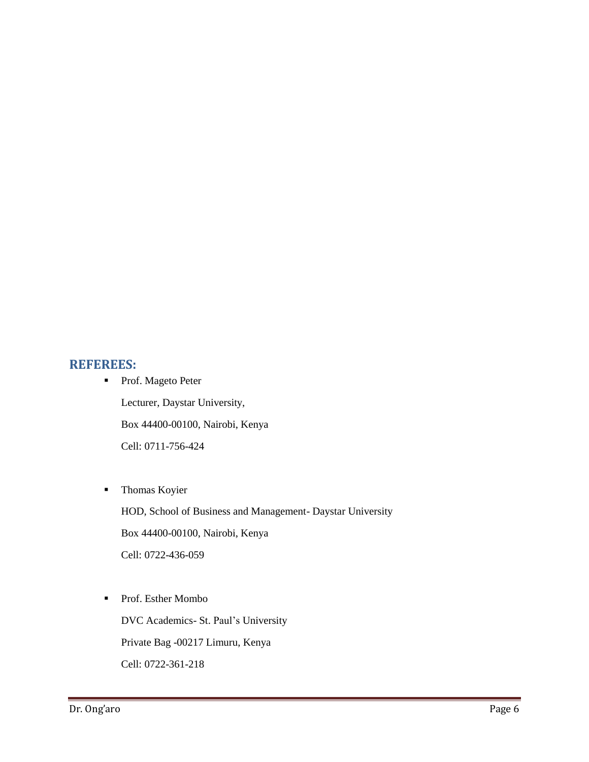#### **REFEREES:**

- Prof. Mageto Peter Lecturer, Daystar University, Box 44400-00100, Nairobi, Kenya Cell: 0711-756-424
- **Thomas Koyier**

HOD, School of Business and Management- Daystar University Box 44400-00100, Nairobi, Kenya Cell: 0722-436-059

■ Prof. Esther Mombo

DVC Academics- St. Paul's University Private Bag -00217 Limuru, Kenya Cell: 0722-361-218